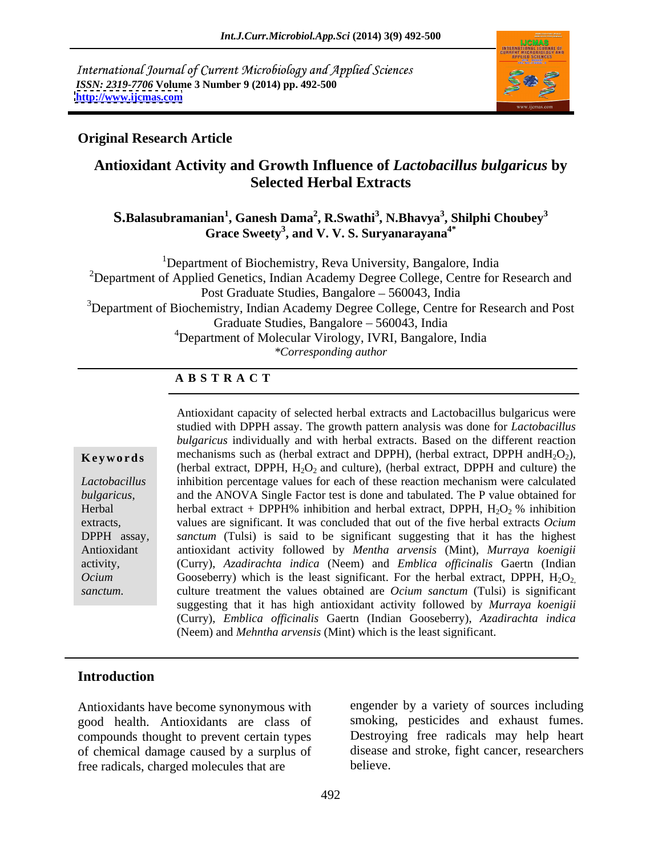International Journal of Current Microbiology and Applied Sciences *ISSN: 2319-7706* **Volume 3 Number 9 (2014) pp. 492-500 <http://www.ijcmas.com>**



### **Original Research Article**

# **Antioxidant Activity and Growth Influence of** *Lactobacillus bulgaricus* **by Selected Herbal Extracts**

 $\boldsymbol{\mathrm{S}}$ .Balasubramanian $^1$ , Ganesh Dama $^2$ , R.Swathi $^3$ , N.Bhavya $^3$ , Shilphi Choubey $^3$ **, Shilphi Choubey<sup>3</sup> Grace Sweety<sup>3</sup> , and V. V. S. Suryanarayana4\***

<sup>1</sup>Department of Biochemistry, Reva University, Bangalore, India <sup>2</sup>Department of Applied Genetics, Indian Academy Degree College, Centre for Research and Post Graduate Studies, Bangalore – 560043, India <sup>3</sup>Department of Biochemistry, Indian Academy Degree College, Centre for Research and Post Graduate Studies, Bangalore – 560043, India 4Department of Molecular Virology, IVRI, Bangalore, India *\*Corresponding author*

### **A B S T R A C T**

extracts*,* 

**Keywords** mechanisms such as (herbal extract and DPPH), (herbal extract, DPPH and  $H_2O_2$ ), *Lactobacillus*  inhibition percentage values for each of these reaction mechanism were calculated *bulgaricus*, and the ANOVA Single Factor test is done and tabulated. The P value obtained for Herbal **herbal extract** + DPPH% inhibition and herbal extract, DPPH,  $H_2O_2$ % inhibition DPPH assay*, sanctum* (Tulsi) is said to be significant suggesting that it has the highest Antioxidant antioxidant activity followed by *Mentha arvensis* (Mint), *Murraya koenigii* activity, (Curry), *Azadirachta indica* (Neem) and *Emblica officinalis* Gaertn (Indian *Ocium* Gooseberry) which is the least significant. For the herbal extract, DPPH, H<sub>2</sub>O<sub>2</sub>, *sanctum.* culture treatment the values obtained are *Ocium sanctum* (Tulsi) is significant Antioxidant capacity of selected herbal extracts and Lactobacillus bulgaricus were studied with DPPH assay. The growth pattern analysis was done for *Lactobacillus bulgaricus* individually and with herbal extracts. Based on the different reaction (herbal extract, DPPH,  $H_2O_2$  and culture), (herbal extract, DPPH and culture) the values are significant. It was concluded that out of the five herbal extracts *Ocium*  (Curry), *Azadirachta indica* (Neem) and *Emblica of icinalis* Gaertn (Indian suggesting that it has high antioxidant activity followed by *Murraya koenigii* (Curry), *Emblica of icinalis* Gaertn (Indian Gooseberry), *Azadirachta indica* (Neem) and *Mehntha arvensis* (Mint) which is the least significant.

### **Introduction**

Antioxidants have become synonymous with good health. Antioxidants are class of compounds thought to prevent certain types of chemical damage caused by a surplus of free radicals, charged molecules that are

engender by a variety of sources including smoking, pesticides and exhaust fumes. Destroying free radicals may help heart disease and stroke, fight cancer, researchers believe.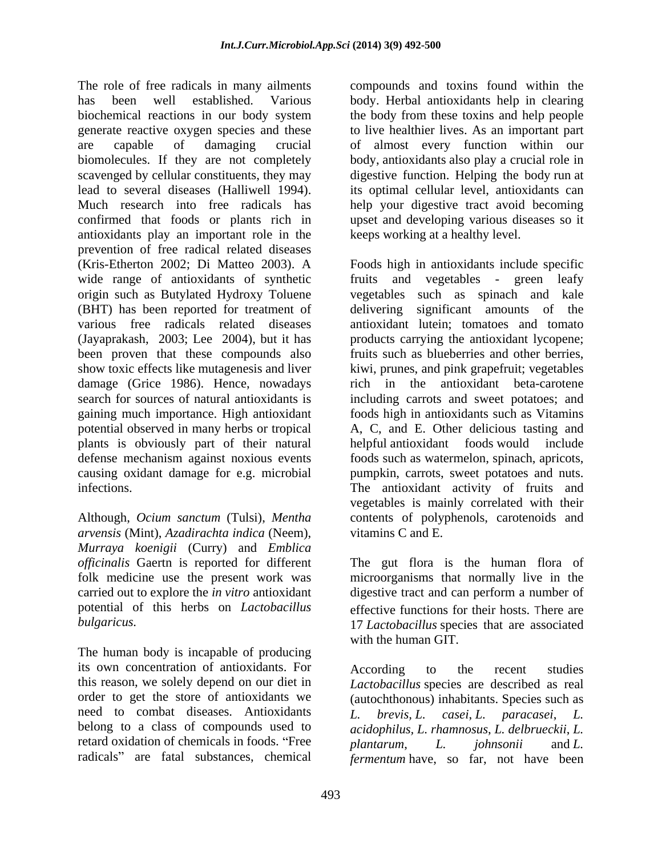The role of free radicals in many ailments compounds and toxins found within the has been well established. Various body. Herbal antioxidants help in clearing biochemical reactions in our body system generate reactive oxygen species and these to live healthier lives. As an important part are capable of damaging crucial of almost every function within our biomolecules. If they are not completely scavenged by cellular constituents, they may digestive function. Helping the body run at lead to several diseases (Halliwell 1994). Its optimal cellular level, antioxidants can<br>Much research into free radicals has 1991 help your digestive tract avoid becoming confirmed that foods or plants rich in upset and developing various diseases so it antioxidants play an important role in the prevention of free radical related diseases (Kris-Etherton 2002; Di Matteo 2003). A Foods high in antioxidants include specific wide range of antioxidants of synthetic fruits origin such as Butylated Hydroxy Toluene (BHT) has been reported for treatment of delivering significant amounts of the various free radicals related diseases antioxidant lutein; tomatoes and tomato (Jayaprakash, 2003; Lee 2004), but it has products carrying the antioxidant lycopene; been proven that these compounds also fruits such as blueberries and other berries, show toxic effects like mutagenesis and liver damage (Grice 1986). Hence, nowadays rich in the search for sources of natural antioxidants is including carrots and sweet potatoes; and gaining much importance. High antioxidant foods high in antioxidants such as Vitamins potential observed in many herbs or tropical A, C, and E. Other delicious tasting and plants is obviously part of their natural defense mechanism against noxious events foods such as watermelon, spinach, apricots, causing oxidant damage for e.g. microbial pumpkin, carrots, sweet potatoes and nuts.

*arvensis* (Mint), *Azadirachta indica* (Neem), *Murraya koenigii* (Curry) and *Emblica officinalis* Gaertn is reported for different potential of this herbs on *Lactobacillus* 

The human body is incapable of producing its own concentration of antioxidants. For this reason, we solely depend on our diet in *Lactobacillus* species are described as real order to get the store of antioxidants we (autochthonous) inhabitants. Species such as need to combat diseases. Antioxidants L. brevis, L. casei, L. paracasei, L. belong to a class of compounds used to *acidophilus, L. rhamnosus*, *L. delbrueckii*, *L.*  retard oxidation of chemicals in foods. "Free  $planarum$ ,  $L$  *johnsonii* and  $L$ .

the body from these toxins and help people body, antioxidants also play a crucial role in its optimal cellular level, antioxidants can help your digestive tract avoid becoming keeps working at a healthy level.

infections. The antioxidant activity of fruits and Although, *Ocium sanctum* (Tulsi), *Mentha*  contents of polyphenols, carotenoids and and vegetables - green leafy vegetables such as spinach and kale kiwi, prunes, and pink grapefruit; vegetables antioxidant beta-carotene helpful antioxidant foods would vegetables is mainly correlated with their vitamins C and E.

folk medicine use the present work was microorganisms that normally live in the carried out to explore the *in vitro* antioxidant digestive tract and can perform a number of *bulgaricus.* 17 *Lactobacillus* species that are associated The gut flora is the human flora of effective functions for their hosts. There are with the human GIT.

radicals" are fatal substances, chemical fermentum have, so far, not have been According to the recent studies *L. brevis, L. casei*, *L. paracasei*, *L. plantarum*, *L. johnsonii* and *L.*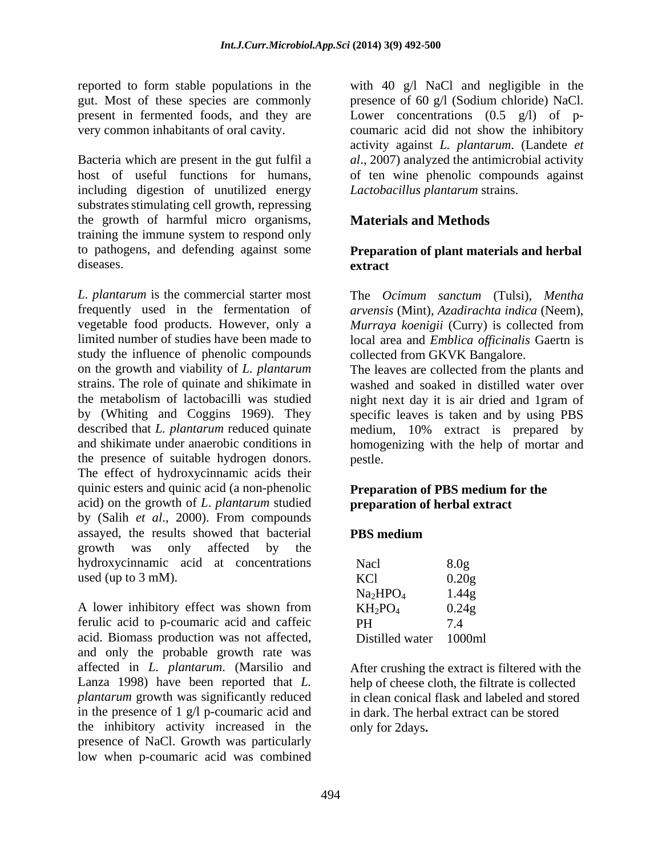reported to form stable populations in the present in fermented foods, and they are

Bacteria which are present in the gut fulfil a including digestion of unutilized energy substrates stimulating cell growth, repressing the growth of harmful micro organisms, training the immune system to respond only to pathogens, and defending against some diseases. **extract** 

*L. plantarum* is the commercial starter most The *Ocimum sanctum* (Tulsi), *Mentha*  frequently used in the fermentation of vegetable food products. However, only a *Murraya koenigii* (Curry) is collected from limited number of studies have been made to local area and *Emblica officinalis* Gaertn is study the influence of phenolic compounds on the growth and viability of *L. plantarum* the metabolism of lactobacilli was studied the presence of suitable hydrogen donors. The effect of hydroxycinnamic acids their quinic esters and quinic acid (a non-phenolic acid) on the growth of *L*. *plantarum* studied by (Salih *et al*., 2000). From compounds assayed, the results showed that bacterial growth was only affected by the hydroxycinnamic acid at concentrations used (up to 3 mM).

A lower inhibitory effect was shown from  $KH_2PO_4$  0.24g ferulic acid to p-coumaric acid and caffeic acid. Biomass production was not affected, and only the probable growth rate was affected in *L. plantarum*. (Marsilio and After crushing the extract is filtered with the Lanza 1998) have been reported that *L. plantarum* growth was significantly reduced in the presence of 1 g/l p-coumaric acid and the inhibitory activity increased in the presence of NaCl. Growth was particularly low when p-coumaric acid was combined

gut. Most of these species are commonly presence of 60 g/l (Sodium chloride) NaCl. very common inhabitants of oral cavity. coumaric acid did not show the inhibitory host of useful functions for humans, of ten wine phenolic compounds against with 40 g/l NaCl and negligible in the Lower concentrations  $(0.5 \text{ g/l})$  of pactivity against *L. plantarum*. (Landete *et al*., 2007) analyzed the antimicrobial activity *Lactobacillus plantarum* strains.

# **Materials and Methods**

### **Preparation of plant materials and herbal extract**

*arvensis* (Mint), *Azadirachta indica* (Neem), collected from GKVK Bangalore.

strains. The role of quinate and shikimate in washed and soaked in distilled water over by (Whiting and Coggins 1969). They specific leaves is taken and by using PBS described that *L. plantarum* reduced quinate medium, 10% extract is prepared by and shikimate under anaerobic conditions in homogenizing with the help of mortar and The leaves are collected from the plants and night next day it is air dried and 1gram of pestle.

### **Preparation of PBS medium for the preparation of herbal extract**

### **PBS medium**

|                                  | 8.0 <sub>g</sub>                           |  |
|----------------------------------|--------------------------------------------|--|
| Nacl<br>KCl                      | 0.20g                                      |  |
| Na <sub>2</sub> HPO <sub>4</sub> | 1.44g                                      |  |
| $KH_2PO_4$                       | 0.24g                                      |  |
| PH                               | $\overline{a}$<br>$\overline{\phantom{a}}$ |  |
| Distilled water 1000ml           |                                            |  |

help of cheese cloth, the filtrate is collected in clean conical flask and labeled and stored in dark. The herbal extract can be stored only for 2days**.**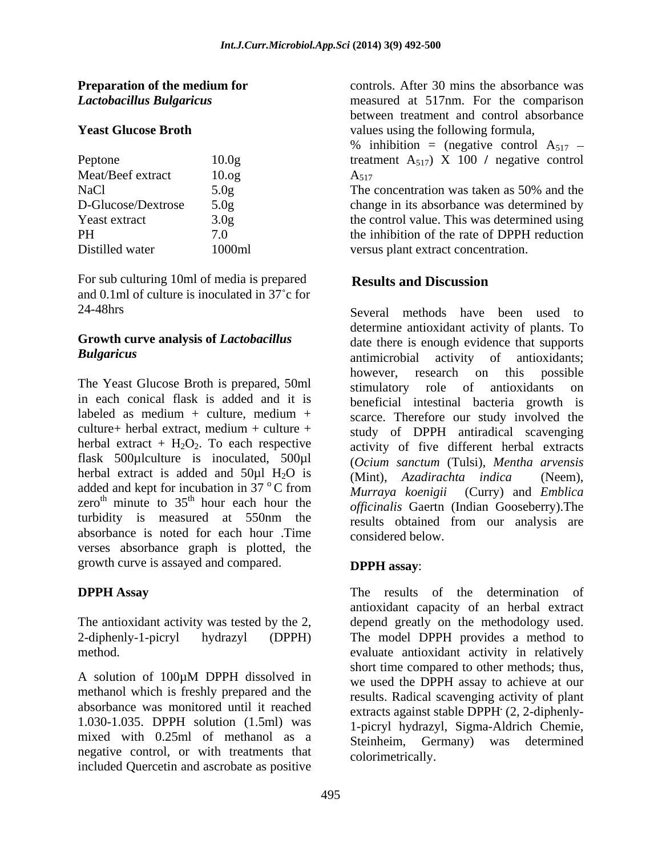| Peptone            | 10.0 <sub>g</sub> |
|--------------------|-------------------|
| Meat/Beef extract  | 10.0 <sub>g</sub> |
| NaCl               | 5.0 <sub>g</sub>  |
| D-Glucose/Dextrose | 5.0 <sub>g</sub>  |
| Yeast extract      | 3.0 <sub>g</sub>  |
| <b>PH</b>          | 7.0               |
| Distilled water    | 1000ml            |
|                    |                   |

For sub culturing 10ml of media is prepared<br>Results and Discussion and 0.1ml of culture is inoculated in  $37^{\circ}$ c for

# **Growth curve analysis of** *Lactobacillus*

The Yeast Glucose Broth is prepared, 50ml stimulatory role of antioxidants on in each conical flask is added and it is<br>labeled as medium  $+$  culture, medium  $+$ culture+ herbal extract, medium + culture + herbal extract is added and  $50\mu$ l H<sub>2</sub>O is (Mint), Azadirachta indica (Neem), added and kept for incubation in 37 °C from absorbance is noted for each hour .Time verses absorbance graph is plotted, the growth curve is assayed and compared. **DPPH assay:** 

A solution of 100µM DPPH dissolved in methanol which is freshly prepared and the absorbance was monitored until it reached mixed with 0.25ml of methanol as a negative control, or with treatments that included Quercetin and ascrobate as positive

**Preparation of the medium for** controls. After 30 mins the absorbance was *Lactobacillus Bulgaricus*  measured at 517nm. For the comparison **Yeast Glucose Broth** values using the following formula, between treatment and control absorbance

Peptone 10.0g treatment A<sub>517</sub>) X 100 / negative control Meat/Beef extract  $10.$ og  $A_{517}$ % inhibition = (negative control  $A_{517}$  –  $A_{517}$ 

The concentration was taken as 50% and the D-Glucose/Dextrose 5.0g change in its absorbance was determined by Yeast extract 3.0g the control value. This was determined using the inhibition of the rate of DPPH reduction Distilled water 1000ml versus plant extract concentration. The concentration was taken as 50% and the the inhibition of the rate of DPPH reduction

## **Results and Discussion**

24-48hrs Several methods have been used to *Bulgaricus*  antimicrobial activity of antioxidants; labeled as medium + culture, medium +  $\frac{1}{\sqrt{1-\frac{1}{\sqrt{1-\frac{1}{\sqrt{1-\frac{1}{\sqrt{1-\frac{1}{\sqrt{1-\frac{1}{\sqrt{1-\frac{1}{\sqrt{1-\frac{1}{\sqrt{1-\frac{1}{\sqrt{1-\frac{1}{\sqrt{1-\frac{1}{\sqrt{1-\frac{1}{\sqrt{1-\frac{1}{\sqrt{1-\frac{1}{\sqrt{1-\frac{1}{\sqrt{1-\frac{1}{\sqrt{1-\frac{1}{\sqrt{1-\frac{1}{\sqrt{1-\frac{1}{\sqrt{1-\frac{1}{\sqrt{1-\frac$ herbal extract +  $H_2O_2$ . To each respective activity of five different herbal extracts flask 500µlculture is inoculated, 500µl (*Ocium sanctum* (Tulsi), *Mentha arvensis*  ${}^{\circ}$ C from *Murraya koenivii* (Curry) and *Emblica* zero<sup>th</sup> minute to  $35<sup>th</sup>$  hour each hour the *officinalis* Gaerth (Indian Gooseberry). The zero<sup>th</sup> minute to  $35<sup>th</sup>$  hour each hour the *officinalis* Gaertn (Indian Gooseberry). The turbidity is measured at 550nm the results obtained from our analysis are determine antioxidant activity of plants. To date there is enough evidence that supports however, research on this possible stimulatory role of antioxidants beneficial intestinal bacteria growth is scarce. Therefore our study involved the study of DPPH antiradical scavenging (Mint), *Azadirachta indica Murraya koenigii* (Curry) and *Emblica officinalis* Gaertn (Indian Gooseberry).The results obtained from our analysis are considered below.

### **DPPH assay**:

**DPPH Assay** The results of the determination of The antioxidant activity was tested by the 2, depend greatly on the methodology used. 2-diphenly-1-picryl hydrazyl (DPPH) The model DPPH provides a method to method. evaluate antioxidant activity in relatively 1.030-1.035. DPPH solution (1.5ml) was 1-picryl hydrazyl, Sigma-Aldrich Chemie, antioxidant capacity of an herbal extract short time compared to other methods; thus, we used the DPPH assay to achieve at our results. Radical scavenging activity of plant extracts against stable DPPH<sup>.</sup> (2, 2-diphenly- (2, 2-diphenly- Steinheim, Germany) was determined colorimetrically.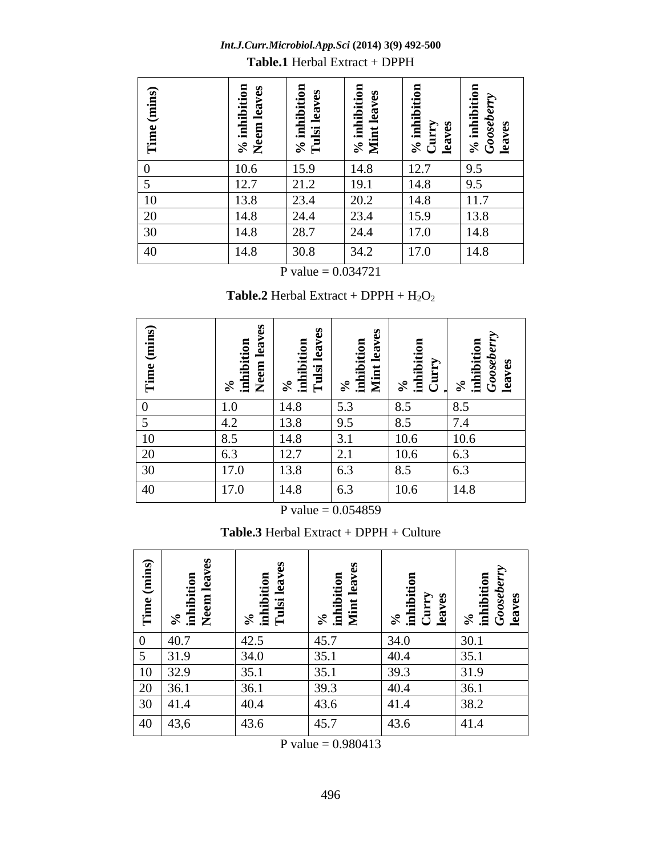**Times | The Line of Second 1996**<br>| Second 1996 | Second 1996 | Second 1996 | Second 1997 | Second 1997 | Second 1997 | Second 1997 | Second 19<br>| Second 1997 | Second 1997 | Second 1997 | Second 1997 | Second 1997 | Second Time (mins) e (mins)<br>
hibition<br>
m leaves<br>
il leaves<br>
t leaves<br>
t leaves<br>
ry<br>
mibition<br>
mibition<br>
mibition<br>
mibition<br>
mibition<br>
mibition<br>
mibition<br>
sederny<br>
sederny<br>
sederny<br>
sederny<br>
sederny<br>
sederny<br>
sederny<br>
sederny<br>
sederny<br>
sedern **%in**<br>
Sensing the sensing the sensing sensing the sensing sensing the sensing sensing the sensing sensing the sensing  $\begin{array}{c|c|c|c|c} \text{s} & \text{if } x & \text{if } x & \text{if } x & \text{if } x & \text{if } x & \text{if } x & \text{if } x & \text{if } x & \text{if } x & \text{if } x & \text{if } x & \text{if } x$ hibitio<br>1 leaves<br>hibitio<br>hibitio<br>1 leaves<br>1 leaves<br>1 leaves<br>hibitio<br>*berry*<br>1 leaves **nNeem** $\begin{array}{c|c|c|c|c} \mathbf{h} & \mathbf{h} & \mathbf{h} & \mathbf{h} \\ \hline \mathbf{h} & \mathbf{h} & \mathbf{h} & \mathbf{h} \\ \hline \mathbf{h} & \mathbf{h} & \mathbf{h} & \mathbf{h} \\ \hline \mathbf{h} & \mathbf{h} & \mathbf{h} & \mathbf{h} \\ \hline \mathbf{h} & \mathbf{h} & \mathbf{h} & \mathbf{h} \\ \hline \mathbf{h} & \mathbf{h} & \mathbf{h} & \mathbf{h} \\ \hline \mathbf{h} & \mathbf{h} & \mathbf{h$ **aves %***s* in the second second second second second second second second second second second second second second second second second second second second second second second second second second second second second second s **hibitio**<br>Leaves<br>hibitio<br>hibitio<br>*x*<br>*s*<br>*berry*<br>*s* **nTulsi le aves %***s* in the second second second second second second second second second second second second second second second second second second second second second second second second second second second second second second s hibitio<br>leaves<br>hibitio<br>s *s*<br>*s*<br>*s*<br>s **nMint le**<br>% inhil<br>Curry<br>leaves<br>% inhil<br>Gooseb<br>leaves **aves %***s* in<br>Currence and second the second second<br>that is a second that  $\frac{1}{2}$  is a second that  $\frac{1}{2}$  is a second that  $\frac{1}{2}$  is a second to the second that  $\frac{1}{2}$  is a second to the second to the second to the sec hibitio<br>y<br>s<br>aberry<br>eberry<br>s **nCurryle aves %** $\frac{1}{8}$  or  $\frac{1}{8}$  or  $\frac{1}{8}$  or  $\frac{1}{8}$  or  $\frac{1}{8}$  or  $\frac{1}{8}$  or  $\frac{1}{8}$  or  $\frac{1}{8}$  or  $\frac{1}{8}$  or  $\frac{1}{8}$  or  $\frac{1}{8}$  or  $\frac{1}{8}$  or  $\frac{1}{8}$  or  $\frac{1}{8}$  or  $\frac{1}{8}$  or  $\frac{1}{8}$  or  $\frac{1}{8}$  or **hibitio n***Go ose b er r*<sub>2</sub> *r*<sub>2</sub> *r*<sub>2</sub> *r*<sub>2</sub> *r*<sub>2</sub> *r*<sub>2</sub> *r*<sub>2</sub> *r*<sub>2</sub> *r*<sub>2</sub> *r y* **le aves** 0 | 10.6 | 15.9 | 14.8 | 12.7 | 9.5 | 5 | 12.7 | 21.2 | 19.1 | 14.8 | 9.5 | 10 13.8 23.4 20.2 14.8 11.7 20 | 14.8 | 24.4 | 23.4 | 15.9 | 13.8 | 30 | 14.8 | 28.7 | 24.4 | 17.0 | 14.8 | 40 | 14.8 | 30.8 | 34.2 | 17.0 | 14.8 |

*Int.J.Curr.Microbiol.App.Sci* **(2014) 3(9) 492-500 Table.1** Herbal Extract + DPPH

**P** value  $= 0.034721$ 

**Table.2** Herbal Extract + DPPH +  $H_2O_2$ 

| $\widehat{\cdot}$<br>$\overline{a}$<br>.Ë | $\frac{\%}{\%}$ inhibition<br>Neem leav | ਾੜ <sub>ਯ</sub> ੂ<br>%<br>inhibi<br>Tulsi | $\sim$<br>nibiti<br>int le:<br>$\frac{1}{2}$ $\frac{1}{2}$ | ⊶∺<br>- 음 달            | $\frac{1}{2}$ $\frac{5}{2}$ $\frac{6}{2}$ |
|-------------------------------------------|-----------------------------------------|-------------------------------------------|------------------------------------------------------------|------------------------|-------------------------------------------|
|                                           |                                         |                                           |                                                            |                        |                                           |
|                                           | 1.0                                     | 14.8                                      | J.J                                                        | 8.5<br>$\Omega$ $\tau$ | 8.5                                       |
|                                           | $+.4$                                   | 13.8                                      | 9.J                                                        | $\delta$ .             | 7.4                                       |
| 10                                        | 8.5                                     | 14.8                                      |                                                            | 10.6                   | 10.6                                      |
| 20                                        |                                         | 12.7                                      | $\overline{\phantom{a}}\cdot\overline{\phantom{a}}$        | 10.6                   | 6.3                                       |
| 30                                        | 17.0                                    | 13.8                                      | 0.3                                                        | 8.5                    | 6.3                                       |
| 40                                        | 17.0                                    | 14.8                                      | 0.3                                                        | 10.6                   | $\vert$ 14.8                              |

**P** value  $= 0.054859$ 

**Table.3** Herbal Extract + DPPH + Culture

| Time (mins)<br>% $\frac{96}{\text{inhibition}}$ inhition                                                                        | %<br>inhibition<br>Tulsi leave | %<br>inhibitic<br>Mint les | %<br>inhibit<br>Curry<br>leaves | $\mathbb{E} \mathcal{L}$<br>, కి 8<br>%<br>inhib<br>G <i>oos</i><br>leave |
|---------------------------------------------------------------------------------------------------------------------------------|--------------------------------|----------------------------|---------------------------------|---------------------------------------------------------------------------|
| 40.7                                                                                                                            | 42.5                           | 45.7                       | 34.0                            | 30.1                                                                      |
| $\epsilon$<br>31.9                                                                                                              | 34.0                           | 35.1                       | $ 40.4\rangle$                  | 35.1                                                                      |
| $\begin{array}{ c c c }\n\hline\n & 31.9 \\ \hline\n10 & 32.9 \\ \hline\n20 & 36.1 \\ \hline\n30 & 41.4 \\ \hline\n\end{array}$ | 35.1                           | 35.1                       | 39.3                            | 31.9                                                                      |
|                                                                                                                                 | 36.1                           | 39.3                       | $ 40.4\rangle$                  | 36.1                                                                      |
|                                                                                                                                 | 40.4                           | $43.6$                     | $ 41.4\rangle$                  | 38.2                                                                      |
| $\boxed{40}$ $\boxed{43,6}$                                                                                                     | 43.6                           | 45.7                       | 43.6                            | 41.4                                                                      |

P value =  $0.980413$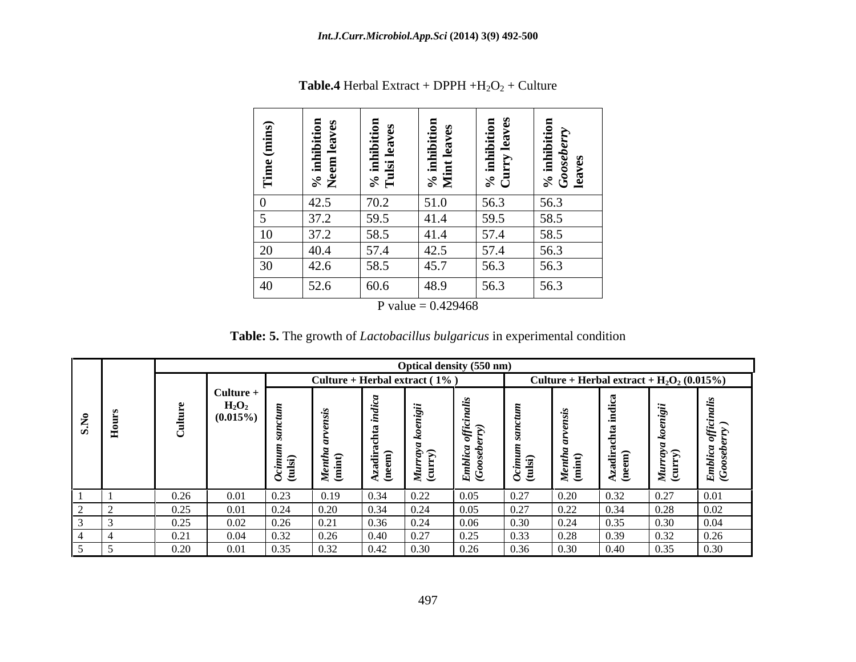| $\sim$<br>Time (m                                                                                  | ළ ශ<br>$\frac{1}{2}$ inhi<br>≽° ≍ັ | ਾੜ –ੱ<br>.로 코 | $\sqrt[8]{3}$     | inhi<br>Irry<br>$ \mathcal{S} \mathbf{G} $ | $-5$<br>$\frac{\text{inhib}}{\text{osebe}}$<br>$\frac{8}{3}$ $\frac{8}{9}$ $\frac{8}{9}$ |
|----------------------------------------------------------------------------------------------------|------------------------------------|---------------|-------------------|--------------------------------------------|------------------------------------------------------------------------------------------|
|                                                                                                    | 142.5                              | 70.2          | 51.0              | 56.3                                       | 56.3                                                                                     |
|                                                                                                    | 272<br>$J/I$ . $\Delta$            | 59.5          | $ 41.4\rangle$    | JJ.J                                       | 58.5                                                                                     |
| $\begin{array}{ c c c }\n\hline\n10 & 37.2 \\ \hline\n20 & 40.4 \\ \hline\n30 & 42.6\n\end{array}$ | $\overline{37.2}$                  | 58.5          | $ 41.4\rangle$    |                                            | $58.5$                                                                                   |
|                                                                                                    |                                    | 57.4          | $\overline{42.5}$ | 57.4                                       | 56.3                                                                                     |
|                                                                                                    |                                    | 58.5          | 45.7              | 56.3                                       | 56.3                                                                                     |
| 40                                                                                                 | 52.6                               | 60.6          | $\boxed{48.9}$    | 56.3                                       | 56.3                                                                                     |

**Table.4** Herbal Extract + DPPH  $+H_2O_2$  + Culture

**P** value  $= 0.429468$ 

**Table: 5.** The growth of *Lactobacillus bulgaricus* in experimental condition

|      |             |                                       |                      |                 |                                  |                          | <b>Optical density (550 nm)</b> |                          |                  |                                                |                                              |                                                               |
|------|-------------|---------------------------------------|----------------------|-----------------|----------------------------------|--------------------------|---------------------------------|--------------------------|------------------|------------------------------------------------|----------------------------------------------|---------------------------------------------------------------|
|      |             |                                       |                      |                 | Culture + Herbal extract $(1\%)$ |                          |                                 |                          |                  |                                                | Culture + Herbal extract + $H_2O_2(0.015\%)$ |                                                               |
| - 15 |             | $\blacksquare$ Culture<br>$(0.015\%)$ | $\sim$ $\sim$        | $\leq$          | $\rightarrow$                    | $\overline{\phantom{0}}$ | 9 H<br>$\sim$                   | $\overline{\phantom{0}}$ | $\approx$ $\sim$ | $\overline{\phantom{0}}$<br>$\triangle$ $\sim$ | ネヘ<br>$\leq$                                 | $\overline{\phantom{1}}$<br>е.<br>$\frac{1}{E}$ $\frac{1}{2}$ |
|      | 0.26        | $\bigcap \Omega$ 1                    | 0.22                 | 0.10            |                                  |                          | $\Omega$                        | 0.27                     | 0.20             | 0.22                                           | $\sim$ $\sim$ $\sim$                         |                                                               |
|      | 0.25        | 0.01                                  | $\sim$ $\sim$ $\sim$ |                 |                                  |                          |                                 | 0.27                     | 0.22             | 0.34                                           |                                              | . വ റ                                                         |
|      | 0.25        | 0.02                                  |                      | 0.21            |                                  |                          | 0.06                            | 0.30                     | 0.24             |                                                |                                              | 0.04                                                          |
|      | $v_{\cdot}$ | 0.04                                  |                      |                 |                                  |                          |                                 |                          |                  |                                                |                                              |                                                               |
|      | 0.20        | 0.01                                  | 0.25                 | $\overline{22}$ |                                  |                          | በ ንሬ                            | 0.36                     | ገ 20             | 0.40                                           |                                              | 0.30                                                          |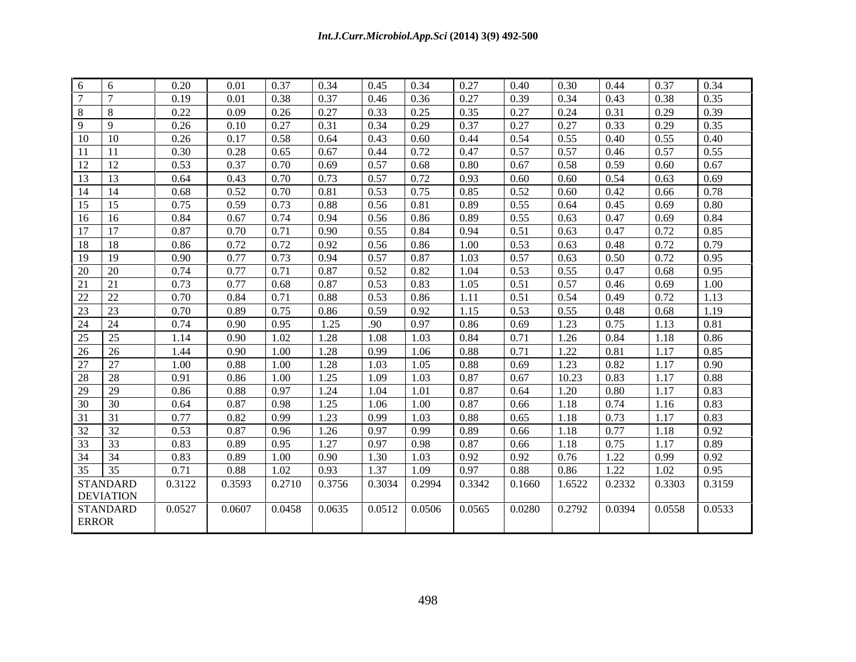| $6\qquad 6$                                                                                                                      | 0.20   | 0.01        | 0.37        | 0.34            | 0.45            | $\mid$ 0.34           | 0.27                  | 0.40                                                                                  | 0.30   | 0.44   | 0.37            | 0.34   |
|----------------------------------------------------------------------------------------------------------------------------------|--------|-------------|-------------|-----------------|-----------------|-----------------------|-----------------------|---------------------------------------------------------------------------------------|--------|--------|-----------------|--------|
| $\frac{1}{7}$                                                                                                                    | 0.19   | 0.01        | 0.38        | 0.37            | 0.46            | 0.36                  | 0.27                  | 0.39                                                                                  | 0.34   | 0.43   | 0.38            | 0.35   |
| $8 \t 8$                                                                                                                         | 0.22   | 0.09        | 0.26        | 0.27            | 0.33            | 0.25                  | 0.35                  | 0.27                                                                                  | 0.24   | 0.31   | 0.29            | 0.39   |
| $9 \t9$                                                                                                                          | 0.26   | $0.10\,$    | 0.27        | 0.31            | 0.34            | $\mid$ 0.29           | 0.37                  | 0.27                                                                                  | 0.27   | 0.33   | 0.29            | 0.35   |
|                                                                                                                                  | 0.26   | 0.17        | 0.58        | 0.64            | 0.43            | $\pm 0.60$            | 0.44                  | 0.54                                                                                  | 0.55   | 0.40   | 0.55            | 0.40   |
|                                                                                                                                  | 0.30   | 0.28        | 0.65        | 0.67            | $0.44$   0.72   |                       | 0.47                  | 0.57                                                                                  | 0.57   | 0.46   | 0.57            | 0.55   |
| $\begin{array}{c cc}\n13 & 11 \\ \hline\n11 & 11 \\ \hline\n12 & 12 \\ \hline\n13 & 13\n\end{array}$                             | 0.53   | 0.37        | 0.70        | 0.69            | $0.57$ 0.68     |                       | 0.80                  | 0.67                                                                                  | 0.58   | 0.59   | 0.60            | 0.67   |
|                                                                                                                                  | 0.64   | 0.43        | $\mid 0.70$ | 0.73            | $0.57$ 0.72     |                       | 0.93                  | 0.60                                                                                  | 0.60   | 0.54   | 0.63            | 0.69   |
|                                                                                                                                  | 0.68   | 0.52        | 0.70        | 0.81            | $0.53$ 0.75     |                       | 0.85                  | 0.52                                                                                  | 0.60   | 0.42   | 0.66            | 0.78   |
| $\begin{array}{ c c c }\n\hline\n14 & 14 \\ \hline\n15 & 15 \\ \hline\n\end{array}$                                              | 0.75   | 0.59        | 0.73        | 0.88            | 0.56            | $\pm 0.81$            | 0.89                  | 0.55                                                                                  | 0.64   | 0.45   | 0.69            | 0.80   |
| $\begin{array}{ c c c c c }\n\hline\n16 & 16\n\end{array}$                                                                       | 0.84   | 0.67        | 0.74        | 0.94            | 0.56            | $\mid$ 0.86           | 0.89                  | 0.55                                                                                  | 0.63   | 0.47   | 0.69            | 0.84   |
|                                                                                                                                  | 0.87   | 0.70        | 0.71        | 0.90            | 0.55            | 0.84                  | 0.94                  | 0.51                                                                                  | 0.63   | 0.47   | 0.72            | 0.85   |
| $\begin{array}{ c c c }\n\hline\n17 & 17 \\ \hline\n18 & 18 \\ \hline\n\end{array}$                                              | 0.86   | 0.72        | 0.72        | 0.92            | $0.56$   0.86   |                       | 1.00                  | 0.53                                                                                  | 0.63   | 0.48   | 0.72            | 0.79   |
| 19 19                                                                                                                            | 0.90   | 0.77        | 0.73        | 0.94            | $0.57$   0.87   |                       | 1.03                  | 0.57                                                                                  | 0.63   | 0.50   | 0.72            | 0.95   |
| $\begin{array}{ c c c c }\n\hline\n20 & 20 \\ \hline\n\end{array}$                                                               | 0.74   | 0.77        | 0.71        | 0.87            | 0.52            | $\mid$ 0.82           | 1.04                  | 0.53                                                                                  | 0.55   | 0.47   | 0.68            | 0.95   |
| $\frac{1}{21}$ $\frac{1}{21}$                                                                                                    | 0.73   | 0.77        | 0.68        | 0.87            | 0.53            | $\mid$ 0.83           | 1.05                  | 0.51                                                                                  | 0.57   | 0.46   | 0.69            | 1.00   |
| $\begin{array}{@{}c@{\hspace{1em}}c@{\hspace{1em}}c}\n \hline\n 22 & 22 \\  \hline\n 23 & 23 \\  \hline\n 24 & 24\n \end{array}$ | 0.70   | $0.84$ 0.71 |             | 0.88            | $0.53$ 0.86     |                       | 1.11                  | 0.51                                                                                  | 0.54   | 0.49   | 0.72            | 1.13   |
|                                                                                                                                  | 0.70   | 0.89        | 0.75        | 0.86            | 0.59            | 0.92                  | 1.15                  | 0.53                                                                                  | 0.55   | 0.48   | 0.68            | 1.19   |
|                                                                                                                                  | 0.74   | 0.90        | 0.95        | 1.25            | .90             | $\vert 0.97 \vert$    | 0.86                  | 0.69                                                                                  | 1.23   | 0.75   | 1.13            | 0.81   |
| $\begin{array}{ c c c }\n\hline\n25 & 25 \\ \hline\n26 & 26 \\ \hline\n\end{array}$                                              | 1.14   | 0.90        | 1.02        | 1.28            | 1.08            | 1.03                  | 0.84                  | 0.71                                                                                  | 1.26   | 0.84   | 1.18            | 0.86   |
|                                                                                                                                  | 1.44   | 0.90        | 1.00        | 1.28            | 0.99            | 1.06                  | 0.88                  | 0.71                                                                                  | 1.22   | 0.81   | 1.17            | 0.85   |
| $\begin{array}{ c c c c }\n\hline\n27 & 27 \\ \hline\n\end{array}$                                                               | 1.00   | 0.88        | 1.00        | 1.28            | 1.03            | 1.05                  | 0.88                  | 0.69                                                                                  | 1.23   | 0.82   | 1.17            | 0.90   |
| $\begin{array}{ c c c }\n\hline\n28 & 28 \\ \hline\n29 & 29 \\ \hline\n\end{array}$                                              | 0.91   | 0.86        | 1.00        | 1.25            | 1.09            | 1.03                  | 0.87                  | 0.67                                                                                  | 10.23  | 0.83   | 1.17            | 0.88   |
|                                                                                                                                  | 0.86   | $0.88\,$    | 0.97        | 1.24            | 1.04            | 1.01                  | 0.87                  | 0.64                                                                                  | 1.20   | 0.80   | 1.17            | 0.83   |
| $\begin{array}{ c c c c }\n\hline\n30 & 30 \\ \hline\n\end{array}$                                                               | 0.64   | 0.87        | 0.98        | 1.25            | 1.06            | 1.00                  | 0.87                  | 0.66                                                                                  | 1.18   | 0.74   | 1.16            | 0.83   |
| 31 31                                                                                                                            | 0.77   | 0.82        | 0.99        | 1.23            | 0.99            | 1.03                  | 0.88                  | 0.65                                                                                  | 1.18   | 0.73   | 1.17            | 0.83   |
| $\begin{array}{ c c }\n\hline\n32 & 32 \\ \hline\n33 & 33\n\end{array}$                                                          | 0.53   | 0.87        | 0.96        | 1.26            | 0.97            | $\mid$ 0.99           | 0.89                  | 0.66                                                                                  | 1.18   | 0.77   | 1.18            | 0.92   |
|                                                                                                                                  | 0.83   | 0.89        | 0.95        | 1.27            | 0.97            | $\vert$ 0.98          | 0.87                  | 0.66                                                                                  | 1.18   | 0.75   | 1.17            | 0.89   |
| $\begin{array}{ c c c c }\n\hline\n34 & 34 \\ \hline\n\end{array}$                                                               | 0.83   | 0.89        | 1.00        | 0.90            | 1.30            | $\vert$ 1.03          | 0.92                  | 0.92                                                                                  | 0.76   | 1.22   | 0.99            | 0.92   |
| $\begin{array}{ c c c c c }\n\hline\n35 & 35 \\ \hline\n\end{array}$                                                             | 0.71   | $0.88\,$    | 1.02        | 0.93            | 1.37            | $\vert$ 1.09          | 0.97                  | 0.88                                                                                  | 0.86   | 1.22   | 1.02            | 0.95   |
| <b>STANDARD</b>                                                                                                                  | 0.3122 | 0.3593      |             | $0.2710$ 0.3756 | $0.3034$ 0.2994 |                       | $0.3342 \quad 0.1660$ |                                                                                       | 1.6522 | 0.2332 | 0.3303          | 0.3159 |
| <b>DEVIATION</b>                                                                                                                 |        |             |             |                 |                 |                       |                       |                                                                                       |        |        |                 |        |
| STANDARD                                                                                                                         | 0.0527 | 0.0607      |             | $0.0458$ 0.0635 |                 | $0.0512 \cdot 0.0506$ | 0.0565                | $\begin{array}{ c c c c c c c c } \hline 0.0280 & 0.2792 & 0.0394 \hline \end{array}$ |        |        | $0.0558$ 0.0533 |        |
| <b>ERROR</b>                                                                                                                     |        |             |             |                 |                 |                       |                       |                                                                                       |        |        |                 |        |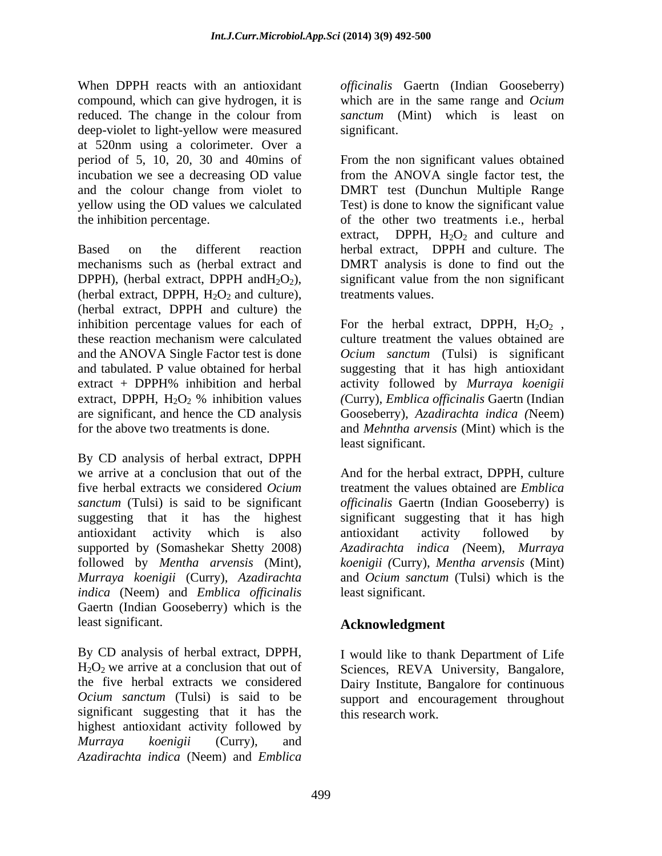When DPPH reacts with an antioxidant *officinalis* Gaertn (Indian Gooseberry) compound, which can give hydrogen, it is reduced. The change in the colour from deep-violet to light-yellow were measured significant. at 520nm using a colorimeter. Over a yellow using the OD values we calculated

(herbal extract, DPPH,  $H_2O_2$  and culture), (herbal extract, DPPH and culture) the inhibition percentage values for each of For the herbal extract, DPPH,  $H_2O_2$ , these reaction mechanism were calculated and the ANOVA Single Factor test is done *Ocium sanctum* (Tulsi) is significant and tabulated. P value obtained for herbal suggesting that it has high antioxidant extract + DPPH% inhibition and herbal activity followed by *Murraya koenigii* extract, DPPH,  $H_2O_2$  % inhibition values (Curry), *Emblica officinalis* Gaertn (Indian are significant, and hence the CD analysis

By CD analysis of herbal extract, DPPH we arrive at a conclusion that out of the And for the herbal extract, DPPH, culture five herbal extracts we considered *Ocium*  treatment the values obtained are *Emblica sanctum* (Tulsi) is said to be significant *officinalis* Gaertn (Indian Gooseberry) is suggesting that it has the highest significant suggesting that it has high antioxidant activity which is also supported by (Somashekar Shetty 2008) *Azadirachta indica (*Neem), *Murraya*  followed by *Mentha arvensis* (Mint), *Murraya koenigii* (Curry), *Azadirachta indica* (Neem) and *Emblica officinalis* Gaertn (Indian Gooseberry) which is the least significant. **Acknowledgment**

By CD analysis of herbal extract, DPPH, H<sub>2</sub>O<sub>2</sub> we arrive at a conclusion that out of Sciences, REVA University, Bangalore, the five herbal extracts we considered Dairy Institute, Bangalore for continuous *Ocium sanctum* (Tulsi) is said to be significant suggesting that it has the highest antioxidant activity followed by *Murraya koenigii* (Curry), and *Azadirachta indica* (Neem) and *Emblica* 

which are in the same range and *Ocium sanctum* (Mint) which is least on significant.

period of 5, 10, 20, 30 and 40mins of From the non significant values obtained incubation we see a decreasing OD value from the ANOVA single factor test, the and the colour change from violet to DMRT test (Dunchun Multiple Range the inhibition percentage. of the other two treatments i.e., herbal Based on the different reaction herbal extract, DPPH and culture. The mechanisms such as (herbal extract and DMRT analysis is done to find out the DPPH), (herbal extract, DPPH and  $H_2O_2$ ), significant value from the non significant Test) is done to know the significant value extract, DPPH,  $H_2O_2$  and culture and treatments values.

for the above two treatments is done. and *Mehntha arvensis* (Mint) which is the For the herbal extract, DPPH,  $H_2O_2$ , culture treatment the values obtained are *(*Curry), *Emblica officinalis* Gaertn (Indian Gooseberry), *Azadirachta indica (*Neem) least significant.

> antioxidant activity followed by *koenigii (*Curry), *Mentha arvensis* (Mint) and *Ocium sanctum* (Tulsi) which is the least significant.

I would like to thank Department of Life support and encouragement throughout this research work.